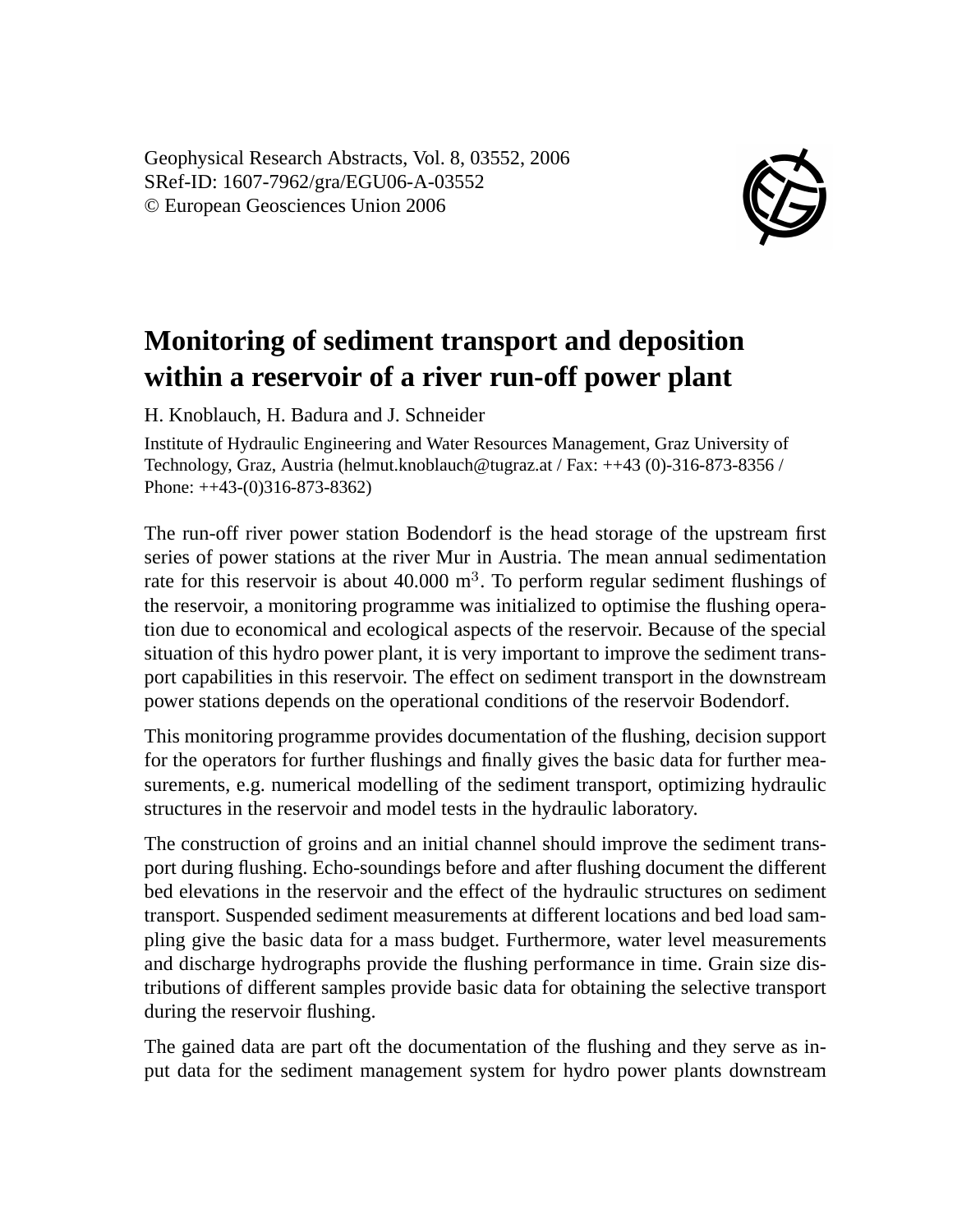Geophysical Research Abstracts, Vol. 8, 03552, 2006 SRef-ID: 1607-7962/gra/EGU06-A-03552 © European Geosciences Union 2006



## **Monitoring of sediment transport and deposition within a reservoir of a river run-off power plant**

H. Knoblauch, H. Badura and J. Schneider

Institute of Hydraulic Engineering and Water Resources Management, Graz University of Technology, Graz, Austria (helmut.knoblauch@tugraz.at / Fax: ++43 (0)-316-873-8356 / Phone: ++43-(0)316-873-8362)

The run-off river power station Bodendorf is the head storage of the upstream first series of power stations at the river Mur in Austria. The mean annual sedimentation rate for this reservoir is about  $40.000 \text{ m}^3$ . To perform regular sediment flushings of the reservoir, a monitoring programme was initialized to optimise the flushing operation due to economical and ecological aspects of the reservoir. Because of the special situation of this hydro power plant, it is very important to improve the sediment transport capabilities in this reservoir. The effect on sediment transport in the downstream power stations depends on the operational conditions of the reservoir Bodendorf.

This monitoring programme provides documentation of the flushing, decision support for the operators for further flushings and finally gives the basic data for further measurements, e.g. numerical modelling of the sediment transport, optimizing hydraulic structures in the reservoir and model tests in the hydraulic laboratory.

The construction of groins and an initial channel should improve the sediment transport during flushing. Echo-soundings before and after flushing document the different bed elevations in the reservoir and the effect of the hydraulic structures on sediment transport. Suspended sediment measurements at different locations and bed load sampling give the basic data for a mass budget. Furthermore, water level measurements and discharge hydrographs provide the flushing performance in time. Grain size distributions of different samples provide basic data for obtaining the selective transport during the reservoir flushing.

The gained data are part oft the documentation of the flushing and they serve as input data for the sediment management system for hydro power plants downstream